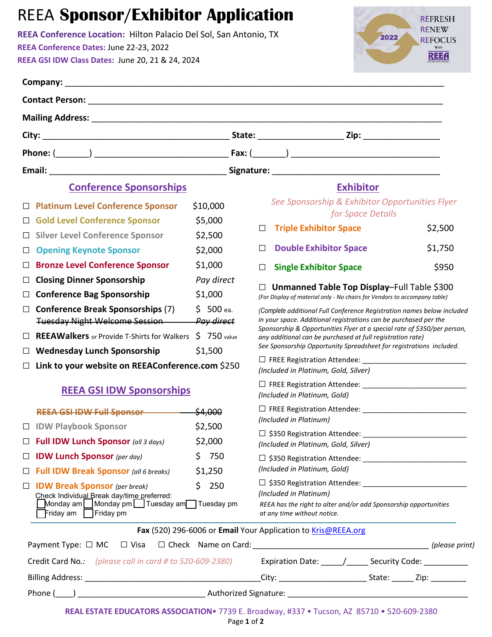## REEA **Sponsor/Exhibitor Application**

**REEA Conference Location:** Hilton Palacio Del Sol, San Antonio, TX **REEA Conference Dates:** June 22-23, 2022 **REEA GSI IDW Class Dates:** June 20, 21 & 24, 2024



|        | <b>Conference Sponsorships</b>                                                                                                                                                                                                 |              |  |                                                                                                                                              | <b>Exhibitor</b>                                                       |                   |  |         |  |
|--------|--------------------------------------------------------------------------------------------------------------------------------------------------------------------------------------------------------------------------------|--------------|--|----------------------------------------------------------------------------------------------------------------------------------------------|------------------------------------------------------------------------|-------------------|--|---------|--|
|        | □ Platinum Level Conference Sponsor                                                                                                                                                                                            | \$10,000     |  |                                                                                                                                              | See Sponsorship & Exhibitor Opportunities Flyer                        |                   |  |         |  |
|        | □ Gold Level Conference Sponsor                                                                                                                                                                                                | \$5,000      |  |                                                                                                                                              |                                                                        | for Space Details |  |         |  |
|        | □ Silver Level Conference Sponsor                                                                                                                                                                                              | \$2,500      |  | $\Box$                                                                                                                                       | <b>Triple Exhibitor Space</b>                                          |                   |  | \$2,500 |  |
| $\Box$ | <b>Opening Keynote Sponsor</b>                                                                                                                                                                                                 | \$2,000      |  | □                                                                                                                                            | <b>Double Exhibitor Space</b>                                          |                   |  | \$1,750 |  |
| $\Box$ | <b>Bronze Level Conference Sponsor</b>                                                                                                                                                                                         | \$1,000      |  | $\Box$                                                                                                                                       | <b>Single Exhibitor Space</b>                                          |                   |  | \$950   |  |
| $\Box$ | <b>Closing Dinner Sponsorship</b>                                                                                                                                                                                              | Pay direct   |  | Unmanned Table Top Display-Full Table \$300                                                                                                  |                                                                        |                   |  |         |  |
| $\Box$ | <b>Conference Bag Sponsorship</b>                                                                                                                                                                                              | \$1,000      |  | (For Display of material only - No chairs for Vendors to accompany table)                                                                    |                                                                        |                   |  |         |  |
| $\Box$ | <b>Conference Break Sponsorships (7)</b>                                                                                                                                                                                       | $$500$ ea.   |  |                                                                                                                                              | (Complete additional Full Conference Registration names below included |                   |  |         |  |
|        | <b>Tuesday Night Welcome Session</b>                                                                                                                                                                                           | Pay direct   |  | in your space. Additional registrations can be purchased per the<br>Sponsorship & Opportunities Flyer at a special rate of \$350/per person, |                                                                        |                   |  |         |  |
| $\Box$ | <b>REEAWalkers</b> or Provide T-Shirts for Walkers                                                                                                                                                                             | $$750$ value |  | any additional can be purchased at full registration rate)<br>See Sponsorship Opportunity Spreadsheet for registrations included.            |                                                                        |                   |  |         |  |
| $\Box$ | <b>Wednesday Lunch Sponsorship</b>                                                                                                                                                                                             | \$1,500      |  |                                                                                                                                              |                                                                        |                   |  |         |  |
| $\Box$ | Link to your website on REEAConference.com \$250                                                                                                                                                                               |              |  |                                                                                                                                              | (Included in Platinum, Gold, Silver)                                   |                   |  |         |  |
|        | <b>REEA GSI IDW Sponsorships</b>                                                                                                                                                                                               |              |  |                                                                                                                                              | (Included in Platinum, Gold)                                           |                   |  |         |  |
|        | REEA GSI IDW Full Sponsor - \$4,000                                                                                                                                                                                            |              |  |                                                                                                                                              |                                                                        |                   |  |         |  |
|        | □ IDW Playbook Sponsor                                                                                                                                                                                                         | \$2,500      |  | (Included in Platinum)                                                                                                                       |                                                                        |                   |  |         |  |
|        | $\Box$ Full IDW Lunch Sponsor (all 3 days)                                                                                                                                                                                     | \$2,000      |  |                                                                                                                                              | (Included in Platinum, Gold, Silver)                                   |                   |  |         |  |
| □      | <b>IDW Lunch Sponsor</b> (per day)                                                                                                                                                                                             | \$750        |  |                                                                                                                                              |                                                                        |                   |  |         |  |
| $\Box$ | <b>Full IDW Break Sponsor</b> (all 6 breaks)                                                                                                                                                                                   | \$1,250      |  |                                                                                                                                              | (Included in Platinum, Gold)                                           |                   |  |         |  |
| Ц      | <b>IDW Break Sponsor</b> (per break)                                                                                                                                                                                           | \$250        |  |                                                                                                                                              | (Included in Platinum)                                                 |                   |  |         |  |
|        | Check Individual Break day/time preferred:<br>Monday am $\bigsqcup$ Monday pm $\bigsqcup$ Tuesday am $\bigsqcup$ Tuesday pm<br>Friday am $\Box$ Friday pm                                                                      |              |  | REEA has the right to alter and/or add Sponsorship opportunities<br>at any time without notice.                                              |                                                                        |                   |  |         |  |
|        |                                                                                                                                                                                                                                |              |  |                                                                                                                                              | Fax (520) 296-6006 or Email Your Application to Kris@REEA.org          |                   |  |         |  |
|        |                                                                                                                                                                                                                                |              |  |                                                                                                                                              |                                                                        |                   |  |         |  |
|        | Credit Card No.: (please call in card # to 520-609-2380) Expiration Date: _____/_____ Security Code: ________                                                                                                                  |              |  |                                                                                                                                              |                                                                        |                   |  |         |  |
|        |                                                                                                                                                                                                                                |              |  |                                                                                                                                              |                                                                        |                   |  |         |  |
|        | Phone (\umbdd(\umbddd)) \lumbdddd(\umbddd) \lumbdddd(\umbddd) \lumbdddd(\umbddd) \lumbdddd(\umbddd) \lumbdddd(\umbddd) \lumbdddd(\umbddd) \lumbdddd(\umbddd) \lumbdddd(\umbddd) \lumbdddd(\umbddd) \lumbdddd(\umbddd) \lumbddd |              |  |                                                                                                                                              |                                                                        |                   |  |         |  |
|        | REAL ESTATE EDUCATORS ASSOCIATION® 7739 E. Broadway, #337 · Tucson, AZ 85710 · 520-609-2380                                                                                                                                    |              |  |                                                                                                                                              |                                                                        |                   |  |         |  |